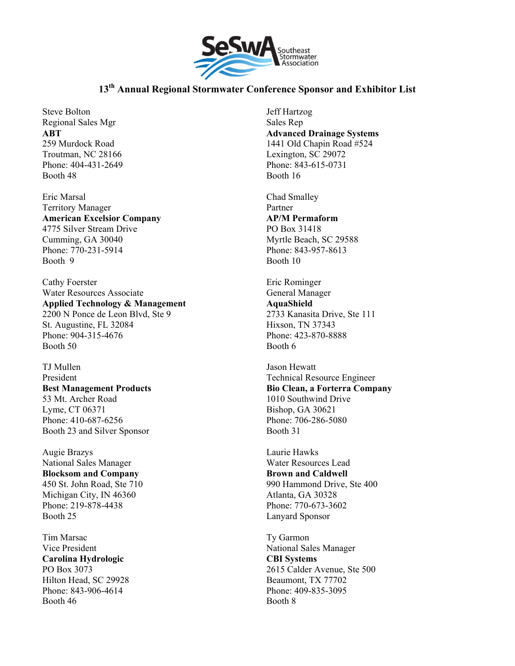

Steve Bolton Regional Sales Mgr **ABT**  259 Murdock Road Troutman, NC 28166 Phone: 404-431-2649 Booth 48

Eric Marsal Territory Manager **American Excelsior Company**  4775 Silver Stream Drive Cumming, GA 30040 Phone: 770-231-5914 Booth 9

Cathy Foerster Water Resources Associate **Applied Technology & Management**  2200 N Ponce de Leon Blvd, Ste 9 St. Augustine, FL 32084 Phone: 904-315-4676 Booth 50

TJ Mullen President **Best Management Products**  53 Mt. Archer Road Lyme, CT 06371 Phone: 410-687-6256 Booth 23 and Silver Sponsor

Augie Brazys National Sales Manager **Blocksom and Company**  450 St. John Road, Ste 710 Michigan City, IN 46360 Phone: 219-878-4438 Booth 25

Tim Marsac Vice President **Carolina Hydrologic**  PO Box 3073 Hilton Head, SC 29928 Phone: 843-906-4614 Booth 46

Jeff Hartzog Sales Rep **Advanced Drainage Systems**  1441 Old Chapin Road #524 Lexington, SC 29072 Phone: 843-615-0731 Booth 16

Chad Smalley Partner **AP/M Permaform**  PO Box 31418 Myrtle Beach, SC 29588 Phone: 843-957-8613 Booth 10

Eric Rominger General Manager **AquaShield**  2733 Kanasita Drive, Ste 111 Hixson, TN 37343 Phone: 423-870-8888 Booth 6

Jason Hewatt Technical Resource Engineer **Bio Clean, a Forterra Company**  1010 Southwind Drive Bishop, GA 30621 Phone: 706-286-5080 Booth 31

Laurie Hawks Water Resources Lead **Brown and Caldwell**  990 Hammond Drive, Ste 400 Atlanta, GA 30328 Phone: 770-673-3602 Lanyard Sponsor

Ty Garmon National Sales Manager **CBI Systems**  2615 Calder Avenue, Ste 500 Beaumont, TX 77702 Phone: 409-835-3095 Booth 8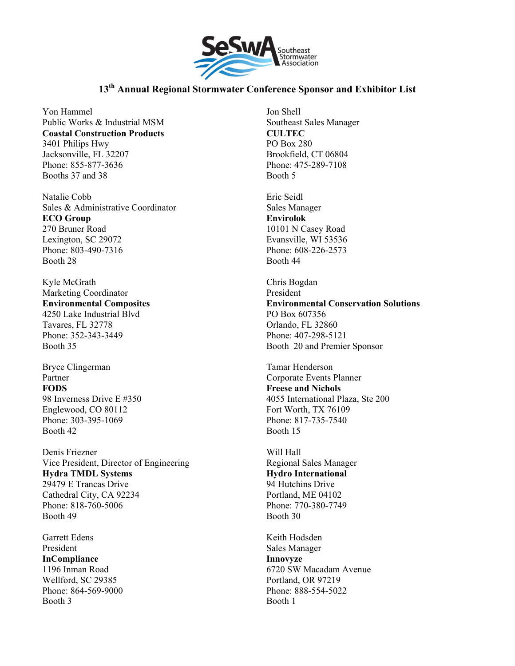

Yon Hammel Public Works & Industrial MSM **Coastal Construction Products**  3401 Philips Hwy Jacksonville, FL 32207 Phone: 855-877-3636 Booths 37 and 38

Natalie Cobb Sales & Administrative Coordinator **ECO Group**  270 Bruner Road Lexington, SC 29072 Phone: 803-490-7316 Booth 28

Kyle McGrath Marketing Coordinator **Environmental Composites**  4250 Lake Industrial Blvd Tavares, FL 32778 Phone: 352-343-3449 Booth 35

Bryce Clingerman Partner **FODS**  98 Inverness Drive E #350 Englewood, CO 80112 Phone: 303-395-1069 Booth 42

Denis Friezner Vice President, Director of Engineering **Hydra TMDL Systems**  29479 E Trancas Drive Cathedral City, CA 92234 Phone: 818-760-5006 Booth 49

Garrett Edens President **InCompliance**  1196 Inman Road Wellford, SC 29385 Phone: 864-569-9000 Booth 3

Jon Shell Southeast Sales Manager **CULTEC**  PO Box 280 Brookfield, CT 06804 Phone: 475-289-7108 Booth 5

Eric Seidl Sales Manager **Envirolok**  10101 N Casey Road Evansville, WI 53536 Phone: 608-226-2573 Booth 44

Chris Bogdan President **Environmental Conservation Solutions**  PO Box 607356 Orlando, FL 32860 Phone: 407-298-5121 Booth 20 and Premier Sponsor

Tamar Henderson Corporate Events Planner **Freese and Nichols**  4055 International Plaza, Ste 200 Fort Worth, TX 76109 Phone: 817-735-7540 Booth 15

Will Hall Regional Sales Manager **Hydro International**  94 Hutchins Drive Portland, ME 04102 Phone: 770-380-7749 Booth 30

Keith Hodsden Sales Manager **Innovyze**  6720 SW Macadam Avenue Portland, OR 97219 Phone: 888-554-5022 Booth 1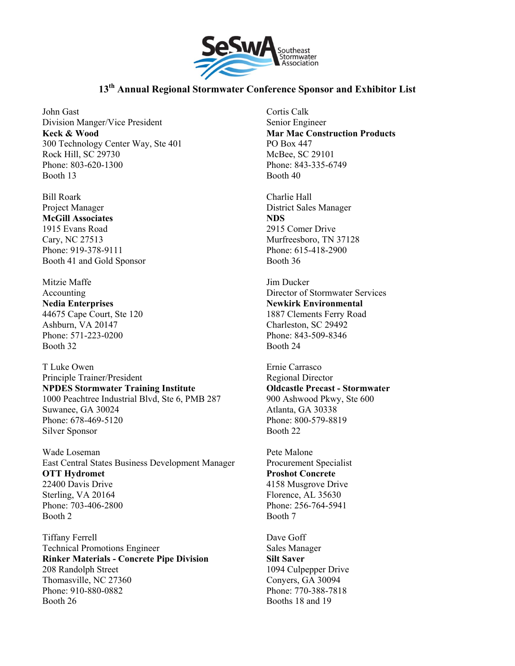

John Gast Division Manger/Vice President **Keck & Wood**  300 Technology Center Way, Ste 401 Rock Hill, SC 29730 Phone: 803-620-1300 Booth 13

Bill Roark Project Manager **McGill Associates**  1915 Evans Road Cary, NC 27513 Phone: 919-378-9111 Booth 41 and Gold Sponsor

Mitzie Maffe Accounting **Nedia Enterprises**  44675 Cape Court, Ste 120 Ashburn, VA 20147 Phone: 571-223-0200 Booth 32

T Luke Owen Principle Trainer/President **NPDES Stormwater Training Institute**  1000 Peachtree Industrial Blvd, Ste 6, PMB 287 Suwanee, GA 30024 Phone: 678-469-5120 Silver Sponsor

Wade Loseman East Central States Business Development Manager **OTT Hydromet**  22400 Davis Drive Sterling, VA 20164 Phone: 703-406-2800 Booth 2

Tiffany Ferrell Technical Promotions Engineer **Rinker Materials - Concrete Pipe Division**  208 Randolph Street Thomasville, NC 27360 Phone: 910-880-0882 Booth 26

Cortis Calk Senior Engineer **Mar Mac Construction Products**  PO Box 447 McBee, SC 29101 Phone: 843-335-6749 Booth 40

Charlie Hall District Sales Manager **NDS**  2915 Comer Drive Murfreesboro, TN 37128 Phone: 615-418-2900 Booth 36

Jim Ducker Director of Stormwater Services **Newkirk Environmental**  1887 Clements Ferry Road Charleston, SC 29492 Phone: 843-509-8346 Booth 24

Ernie Carrasco Regional Director **Oldcastle Precast - Stormwater**  900 Ashwood Pkwy, Ste 600 Atlanta, GA 30338 Phone: 800-579-8819 Booth 22

Pete Malone Procurement Specialist **Proshot Concrete**  4158 Musgrove Drive Florence, AL 35630 Phone: 256-764-5941 Booth 7

Dave Goff Sales Manager **Silt Saver**  1094 Culpepper Drive Conyers, GA 30094 Phone: 770-388-7818 Booths 18 and 19